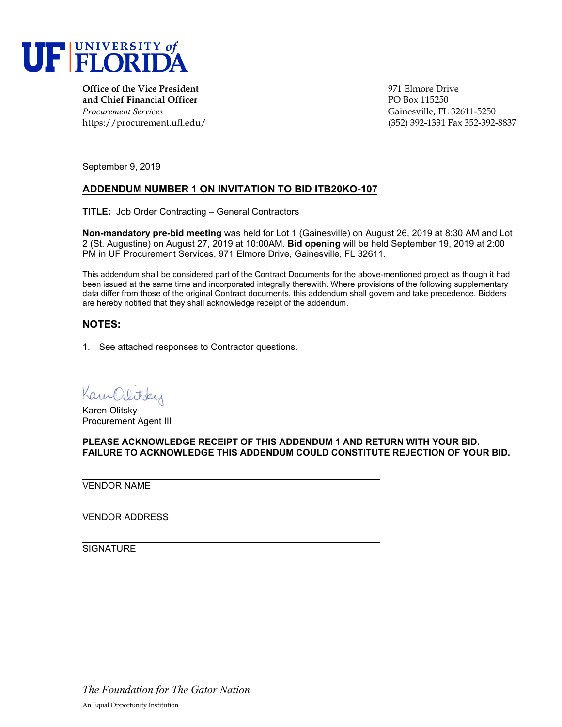

**Office of the Vice President** entertainment of the Vice President entertainment of the Vice Prive **and Chief Financial Officer** PO Box 115250 *Procurement Services* Gainesville, FL 32611-5250

https://procurement.ufl.edu/ (352) 392-1331 Fax 352-392-8837

September 9, 2019

## **ADDENDUM NUMBER 1 ON INVITATION TO BID ITB20KO-107**

**TITLE:** Job Order Contracting – General Contractors

**Non-mandatory pre-bid meeting** was held for Lot 1 (Gainesville) on August 26, 2019 at 8:30 AM and Lot 2 (St. Augustine) on August 27, 2019 at 10:00AM. **Bid opening** will be held September 19, 2019 at 2:00 PM in UF Procurement Services, 971 Elmore Drive, Gainesville, FL 32611.

This addendum shall be considered part of the Contract Documents for the above-mentioned project as though it had been issued at the same time and incorporated integrally therewith. Where provisions of the following supplementary data differ from those of the original Contract documents, this addendum shall govern and take precedence. Bidders are hereby notified that they shall acknowledge receipt of the addendum.

## **NOTES:**

1. See attached responses to Contractor questions.

Kam Olitsky

Karen Olitsky Procurement Agent III

**PLEASE ACKNOWLEDGE RECEIPT OF THIS ADDENDUM 1 AND RETURN WITH YOUR BID. FAILURE TO ACKNOWLEDGE THIS ADDENDUM COULD CONSTITUTE REJECTION OF YOUR BID.**

VENDOR NAME

VENDOR ADDRESS

**SIGNATURE** 

*The Foundation for The Gator Nation* An Equal Opportunity Institution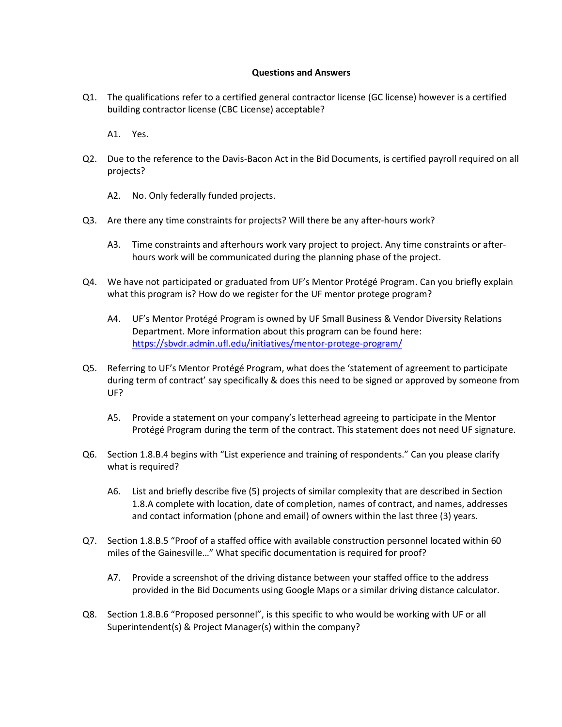## **Questions and Answers**

Q1. The qualifications refer to a certified general contractor license (GC license) however is a certified building contractor license (CBC License) acceptable?

A1. Yes.

- Q2. Due to the reference to the Davis-Bacon Act in the Bid Documents, is certified payroll required on all projects?
	- A2. No. Only federally funded projects.
- Q3. Are there any time constraints for projects? Will there be any after-hours work?
	- A3. Time constraints and afterhours work vary project to project. Any time constraints or afterhours work will be communicated during the planning phase of the project.
- Q4. We have not participated or graduated from UF's Mentor Protégé Program. Can you briefly explain what this program is? How do we register for the UF mentor protege program?
	- A4. UF's Mentor Protégé Program is owned by UF Small Business & Vendor Diversity Relations Department. More information about this program can be found here: <https://sbvdr.admin.ufl.edu/initiatives/mentor-protege-program/>
- Q5. Referring to UF's Mentor Protégé Program, what does the 'statement of agreement to participate during term of contract' say specifically & does this need to be signed or approved by someone from UF?
	- A5. Provide a statement on your company's letterhead agreeing to participate in the Mentor Protégé Program during the term of the contract. This statement does not need UF signature.
- Q6. Section 1.8.B.4 begins with "List experience and training of respondents." Can you please clarify what is required?
	- A6. List and briefly describe five (5) projects of similar complexity that are described in Section 1.8.A complete with location, date of completion, names of contract, and names, addresses and contact information (phone and email) of owners within the last three (3) years.
- Q7. Section 1.8.B.5 "Proof of a staffed office with available construction personnel located within 60 miles of the Gainesville…" What specific documentation is required for proof?
	- A7. Provide a screenshot of the driving distance between your staffed office to the address provided in the Bid Documents using Google Maps or a similar driving distance calculator.
- Q8. Section 1.8.B.6 "Proposed personnel", is this specific to who would be working with UF or all Superintendent(s) & Project Manager(s) within the company?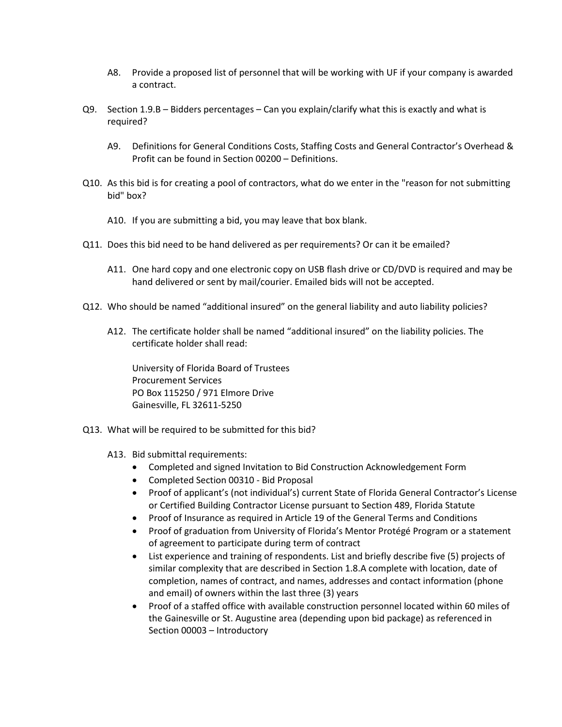- A8. Provide a proposed list of personnel that will be working with UF if your company is awarded a contract.
- Q9. Section 1.9.B Bidders percentages Can you explain/clarify what this is exactly and what is required?
	- A9. Definitions for General Conditions Costs, Staffing Costs and General Contractor's Overhead & Profit can be found in Section 00200 – Definitions.
- Q10. As this bid is for creating a pool of contractors, what do we enter in the "reason for not submitting bid" box?
	- A10. If you are submitting a bid, you may leave that box blank.
- Q11. Does this bid need to be hand delivered as per requirements? Or can it be emailed?
	- A11. One hard copy and one electronic copy on USB flash drive or CD/DVD is required and may be hand delivered or sent by mail/courier. Emailed bids will not be accepted.
- Q12. Who should be named "additional insured" on the general liability and auto liability policies?
	- A12. The certificate holder shall be named "additional insured" on the liability policies. The certificate holder shall read:

University of Florida Board of Trustees Procurement Services PO Box 115250 / 971 Elmore Drive Gainesville, FL 32611-5250

- Q13. What will be required to be submitted for this bid?
	- A13. Bid submittal requirements:
		- Completed and signed Invitation to Bid Construction Acknowledgement Form
		- Completed Section 00310 Bid Proposal
		- Proof of applicant's (not individual's) current State of Florida General Contractor's License or Certified Building Contractor License pursuant to Section 489, Florida Statute
		- Proof of Insurance as required in Article 19 of the General Terms and Conditions
		- Proof of graduation from University of Florida's Mentor Protégé Program or a statement of agreement to participate during term of contract
		- List experience and training of respondents. List and briefly describe five (5) projects of similar complexity that are described in Section 1.8.A complete with location, date of completion, names of contract, and names, addresses and contact information (phone and email) of owners within the last three (3) years
		- Proof of a staffed office with available construction personnel located within 60 miles of the Gainesville or St. Augustine area (depending upon bid package) as referenced in Section 00003 – Introductory